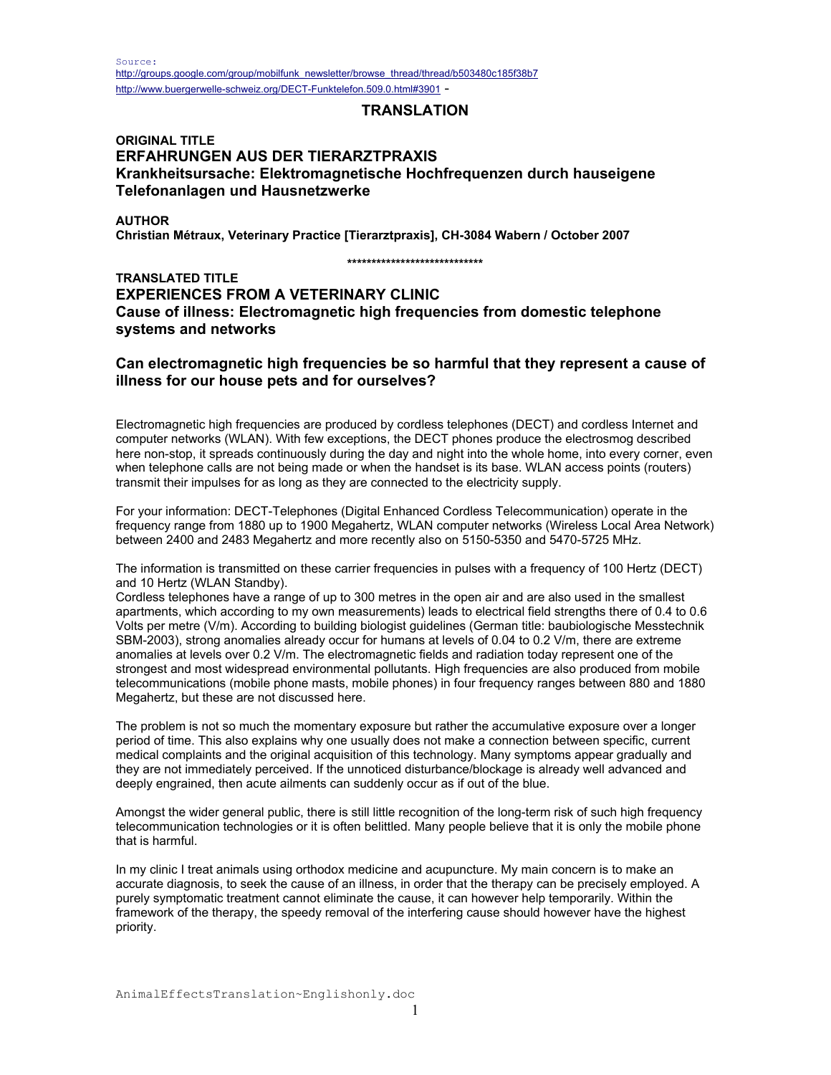# **TRANSLATION**

# **ORIGINAL TITLE ERFAHRUNGEN AUS DER TIERARZTPRAXIS Krankheitsursache: Elektromagnetische Hochfrequenzen durch hauseigene Telefonanlagen und Hausnetzwerke**

**AUTHOR** 

**Christian Métraux, Veterinary Practice [Tierarztpraxis], CH-3084 Wabern / October 2007** 

**\*\*\*\*\*\*\*\*\*\*\*\*\*\*\*\*\*\*\*\*\*\*\*\*\*\*\*\*** 

**TRANSLATED TITLE EXPERIENCES FROM A VETERINARY CLINIC Cause of illness: Electromagnetic high frequencies from domestic telephone systems and networks** 

# **Can electromagnetic high frequencies be so harmful that they represent a cause of illness for our house pets and for ourselves?**

Electromagnetic high frequencies are produced by cordless telephones (DECT) and cordless Internet and computer networks (WLAN). With few exceptions, the DECT phones produce the electrosmog described here non-stop, it spreads continuously during the day and night into the whole home, into every corner, even when telephone calls are not being made or when the handset is its base. WLAN access points (routers) transmit their impulses for as long as they are connected to the electricity supply.

For your information: DECT-Telephones (Digital Enhanced Cordless Telecommunication) operate in the frequency range from 1880 up to 1900 Megahertz, WLAN computer networks (Wireless Local Area Network) between 2400 and 2483 Megahertz and more recently also on 5150-5350 and 5470-5725 MHz.

The information is transmitted on these carrier frequencies in pulses with a frequency of 100 Hertz (DECT) and 10 Hertz (WLAN Standby).

Cordless telephones have a range of up to 300 metres in the open air and are also used in the smallest apartments, which according to my own measurements) leads to electrical field strengths there of 0.4 to 0.6 Volts per metre (V/m). According to building biologist guidelines (German title: baubiologische Messtechnik SBM-2003), strong anomalies already occur for humans at levels of 0.04 to 0.2 V/m, there are extreme anomalies at levels over 0.2 V/m. The electromagnetic fields and radiation today represent one of the strongest and most widespread environmental pollutants. High frequencies are also produced from mobile telecommunications (mobile phone masts, mobile phones) in four frequency ranges between 880 and 1880 Megahertz, but these are not discussed here.

The problem is not so much the momentary exposure but rather the accumulative exposure over a longer period of time. This also explains why one usually does not make a connection between specific, current medical complaints and the original acquisition of this technology. Many symptoms appear gradually and they are not immediately perceived. If the unnoticed disturbance/blockage is already well advanced and deeply engrained, then acute ailments can suddenly occur as if out of the blue.

Amongst the wider general public, there is still little recognition of the long-term risk of such high frequency telecommunication technologies or it is often belittled. Many people believe that it is only the mobile phone that is harmful.

In my clinic I treat animals using orthodox medicine and acupuncture. My main concern is to make an accurate diagnosis, to seek the cause of an illness, in order that the therapy can be precisely employed. A purely symptomatic treatment cannot eliminate the cause, it can however help temporarily. Within the framework of the therapy, the speedy removal of the interfering cause should however have the highest priority.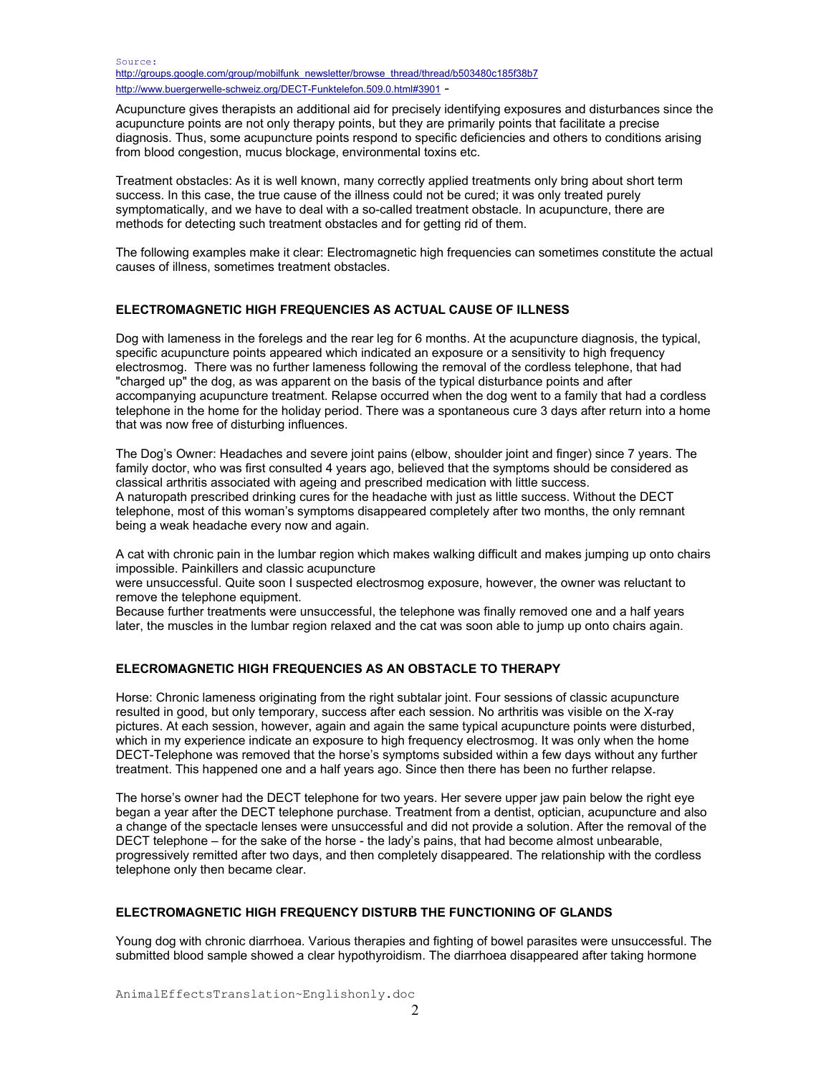Acupuncture gives therapists an additional aid for precisely identifying exposures and disturbances since the acupuncture points are not only therapy points, but they are primarily points that facilitate a precise diagnosis. Thus, some acupuncture points respond to specific deficiencies and others to conditions arising from blood congestion, mucus blockage, environmental toxins etc.

Treatment obstacles: As it is well known, many correctly applied treatments only bring about short term success. In this case, the true cause of the illness could not be cured; it was only treated purely symptomatically, and we have to deal with a so-called treatment obstacle. In acupuncture, there are methods for detecting such treatment obstacles and for getting rid of them.

The following examples make it clear: Electromagnetic high frequencies can sometimes constitute the actual causes of illness, sometimes treatment obstacles.

### **ELECTROMAGNETIC HIGH FREQUENCIES AS ACTUAL CAUSE OF ILLNESS**

Dog with lameness in the forelegs and the rear leg for 6 months. At the acupuncture diagnosis, the typical, specific acupuncture points appeared which indicated an exposure or a sensitivity to high frequency electrosmog. There was no further lameness following the removal of the cordless telephone, that had "charged up" the dog, as was apparent on the basis of the typical disturbance points and after accompanying acupuncture treatment. Relapse occurred when the dog went to a family that had a cordless telephone in the home for the holiday period. There was a spontaneous cure 3 days after return into a home that was now free of disturbing influences.

The Dog's Owner: Headaches and severe joint pains (elbow, shoulder joint and finger) since 7 years. The family doctor, who was first consulted 4 years ago, believed that the symptoms should be considered as classical arthritis associated with ageing and prescribed medication with little success. A naturopath prescribed drinking cures for the headache with just as little success. Without the DECT telephone, most of this woman's symptoms disappeared completely after two months, the only remnant being a weak headache every now and again.

A cat with chronic pain in the lumbar region which makes walking difficult and makes jumping up onto chairs impossible. Painkillers and classic acupuncture

were unsuccessful. Quite soon I suspected electrosmog exposure, however, the owner was reluctant to remove the telephone equipment.

Because further treatments were unsuccessful, the telephone was finally removed one and a half years later, the muscles in the lumbar region relaxed and the cat was soon able to jump up onto chairs again.

### **ELECROMAGNETIC HIGH FREQUENCIES AS AN OBSTACLE TO THERAPY**

Horse: Chronic lameness originating from the right subtalar joint. Four sessions of classic acupuncture resulted in good, but only temporary, success after each session. No arthritis was visible on the X-ray pictures. At each session, however, again and again the same typical acupuncture points were disturbed, which in my experience indicate an exposure to high frequency electrosmog. It was only when the home DECT-Telephone was removed that the horse's symptoms subsided within a few days without any further treatment. This happened one and a half years ago. Since then there has been no further relapse.

The horse's owner had the DECT telephone for two years. Her severe upper jaw pain below the right eye began a year after the DECT telephone purchase. Treatment from a dentist, optician, acupuncture and also a change of the spectacle lenses were unsuccessful and did not provide a solution. After the removal of the DECT telephone – for the sake of the horse - the lady's pains, that had become almost unbearable, progressively remitted after two days, and then completely disappeared. The relationship with the cordless telephone only then became clear.

# **ELECTROMAGNETIC HIGH FREQUENCY DISTURB THE FUNCTIONING OF GLANDS**

Young dog with chronic diarrhoea. Various therapies and fighting of bowel parasites were unsuccessful. The submitted blood sample showed a clear hypothyroidism. The diarrhoea disappeared after taking hormone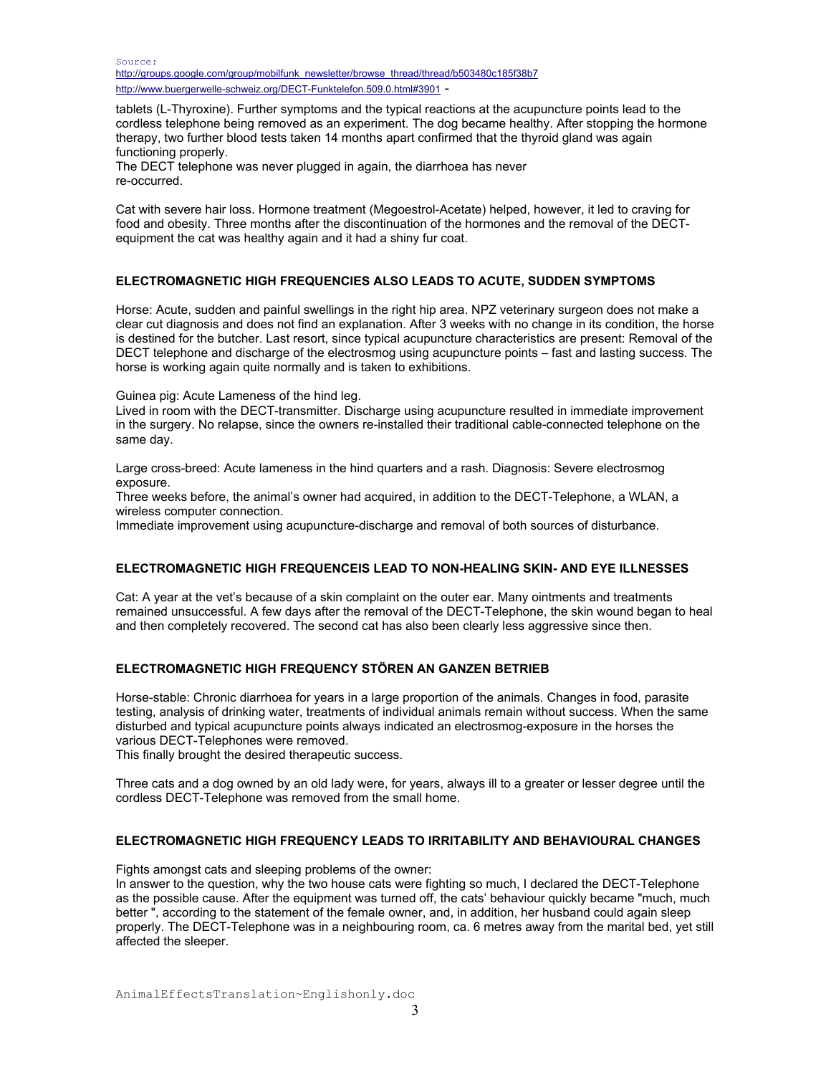Source: http://groups.google.com/group/mobilfunk\_newsletter/browse\_thread/thread/b503480c185f38b7 http://www.buergerwelle-schweiz.org/DECT-Funktelefon.509.0.html#3901 -

tablets (L-Thyroxine). Further symptoms and the typical reactions at the acupuncture points lead to the cordless telephone being removed as an experiment. The dog became healthy. After stopping the hormone therapy, two further blood tests taken 14 months apart confirmed that the thyroid gland was again functioning properly.

The DECT telephone was never plugged in again, the diarrhoea has never re-occurred.

Cat with severe hair loss. Hormone treatment (Megoestrol-Acetate) helped, however, it led to craving for food and obesity. Three months after the discontinuation of the hormones and the removal of the DECTequipment the cat was healthy again and it had a shiny fur coat.

### **ELECTROMAGNETIC HIGH FREQUENCIES ALSO LEADS TO ACUTE, SUDDEN SYMPTOMS**

Horse: Acute, sudden and painful swellings in the right hip area. NPZ veterinary surgeon does not make a clear cut diagnosis and does not find an explanation. After 3 weeks with no change in its condition, the horse is destined for the butcher. Last resort, since typical acupuncture characteristics are present: Removal of the DECT telephone and discharge of the electrosmog using acupuncture points – fast and lasting success. The horse is working again quite normally and is taken to exhibitions.

Guinea pig: Acute Lameness of the hind leg.

Lived in room with the DECT-transmitter. Discharge using acupuncture resulted in immediate improvement in the surgery. No relapse, since the owners re-installed their traditional cable-connected telephone on the same day.

Large cross-breed: Acute lameness in the hind quarters and a rash. Diagnosis: Severe electrosmog exposure.

Three weeks before, the animal's owner had acquired, in addition to the DECT-Telephone, a WLAN, a wireless computer connection.

Immediate improvement using acupuncture-discharge and removal of both sources of disturbance.

### **ELECTROMAGNETIC HIGH FREQUENCEIS LEAD TO NON-HEALING SKIN- AND EYE ILLNESSES**

Cat: A year at the vet's because of a skin complaint on the outer ear. Many ointments and treatments remained unsuccessful. A few days after the removal of the DECT-Telephone, the skin wound began to heal and then completely recovered. The second cat has also been clearly less aggressive since then.

# **ELECTROMAGNETIC HIGH FREQUENCY STÖREN AN GANZEN BETRIEB**

Horse-stable: Chronic diarrhoea for years in a large proportion of the animals. Changes in food, parasite testing, analysis of drinking water, treatments of individual animals remain without success. When the same disturbed and typical acupuncture points always indicated an electrosmog-exposure in the horses the various DECT-Telephones were removed.

This finally brought the desired therapeutic success.

Three cats and a dog owned by an old lady were, for years, always ill to a greater or lesser degree until the cordless DECT-Telephone was removed from the small home.

### **ELECTROMAGNETIC HIGH FREQUENCY LEADS TO IRRITABILITY AND BEHAVIOURAL CHANGES**

Fights amongst cats and sleeping problems of the owner:

In answer to the question, why the two house cats were fighting so much, I declared the DECT-Telephone as the possible cause. After the equipment was turned off, the cats' behaviour quickly became "much, much better ", according to the statement of the female owner, and, in addition, her husband could again sleep properly. The DECT-Telephone was in a neighbouring room, ca. 6 metres away from the marital bed, yet still affected the sleeper.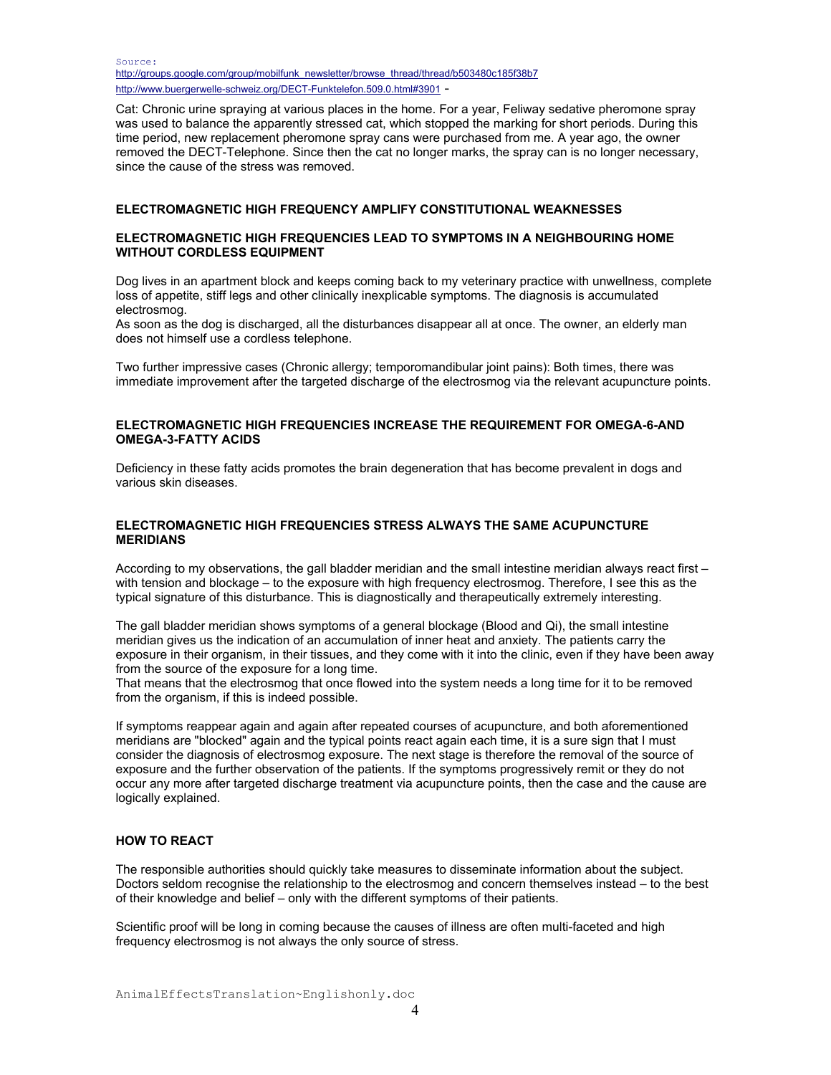Source: http://groups.google.com/group/mobilfunk\_newsletter/browse\_thread/thread/b503480c185f38b7 http://www.buergerwelle-schweiz.org/DECT-Funktelefon.509.0.html#3901 -

Cat: Chronic urine spraying at various places in the home. For a year, Feliway sedative pheromone spray was used to balance the apparently stressed cat, which stopped the marking for short periods. During this time period, new replacement pheromone spray cans were purchased from me. A year ago, the owner removed the DECT-Telephone. Since then the cat no longer marks, the spray can is no longer necessary, since the cause of the stress was removed.

#### **ELECTROMAGNETIC HIGH FREQUENCY AMPLIFY CONSTITUTIONAL WEAKNESSES**

#### **ELECTROMAGNETIC HIGH FREQUENCIES LEAD TO SYMPTOMS IN A NEIGHBOURING HOME WITHOUT CORDLESS EQUIPMENT**

Dog lives in an apartment block and keeps coming back to my veterinary practice with unwellness, complete loss of appetite, stiff legs and other clinically inexplicable symptoms. The diagnosis is accumulated electrosmog.

As soon as the dog is discharged, all the disturbances disappear all at once. The owner, an elderly man does not himself use a cordless telephone.

Two further impressive cases (Chronic allergy; temporomandibular joint pains): Both times, there was immediate improvement after the targeted discharge of the electrosmog via the relevant acupuncture points.

### **ELECTROMAGNETIC HIGH FREQUENCIES INCREASE THE REQUIREMENT FOR OMEGA-6-AND OMEGA-3-FATTY ACIDS**

Deficiency in these fatty acids promotes the brain degeneration that has become prevalent in dogs and various skin diseases.

### **ELECTROMAGNETIC HIGH FREQUENCIES STRESS ALWAYS THE SAME ACUPUNCTURE MERIDIANS**

According to my observations, the gall bladder meridian and the small intestine meridian always react first – with tension and blockage – to the exposure with high frequency electrosmog. Therefore, I see this as the typical signature of this disturbance. This is diagnostically and therapeutically extremely interesting.

The gall bladder meridian shows symptoms of a general blockage (Blood and Qi), the small intestine meridian gives us the indication of an accumulation of inner heat and anxiety. The patients carry the exposure in their organism, in their tissues, and they come with it into the clinic, even if they have been away from the source of the exposure for a long time.

That means that the electrosmog that once flowed into the system needs a long time for it to be removed from the organism, if this is indeed possible.

If symptoms reappear again and again after repeated courses of acupuncture, and both aforementioned meridians are "blocked" again and the typical points react again each time, it is a sure sign that I must consider the diagnosis of electrosmog exposure. The next stage is therefore the removal of the source of exposure and the further observation of the patients. If the symptoms progressively remit or they do not occur any more after targeted discharge treatment via acupuncture points, then the case and the cause are logically explained.

#### **HOW TO REACT**

The responsible authorities should quickly take measures to disseminate information about the subject. Doctors seldom recognise the relationship to the electrosmog and concern themselves instead – to the best of their knowledge and belief – only with the different symptoms of their patients.

Scientific proof will be long in coming because the causes of illness are often multi-faceted and high frequency electrosmog is not always the only source of stress.